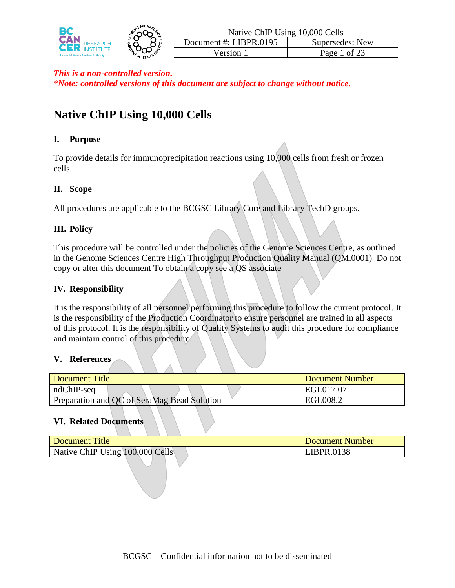

# **Native ChIP Using 10,000 Cells**

### **I. Purpose**

To provide details for immunoprecipitation reactions using 10,000 cells from fresh or frozen cells.

### **II. Scope**

All procedures are applicable to the BCGSC Library Core and Library TechD groups.

### **III. Policy**

This procedure will be controlled under the policies of the Genome Sciences Centre, as outlined in the Genome Sciences Centre High Throughput Production Quality Manual (QM.0001) Do not copy or alter this document To obtain a copy see a QS associate

#### **IV. Responsibility**

It is the responsibility of all personnel performing this procedure to follow the current protocol. It is the responsibility of the Production Coordinator to ensure personnel are trained in all aspects of this protocol. It is the responsibility of Quality Systems to audit this procedure for compliance and maintain control of this procedure.

#### **V. References**

| Document Title                              | Document Number |
|---------------------------------------------|-----------------|
| ndChIP-seq                                  | EGL017.07       |
| Preparation and QC of SeraMag Bead Solution | EGL008.2        |

#### **VI. Related Documents**

| Document Title                  | Document Number |
|---------------------------------|-----------------|
| Native ChIP Using 100,000 Cells | LIBPR.0138      |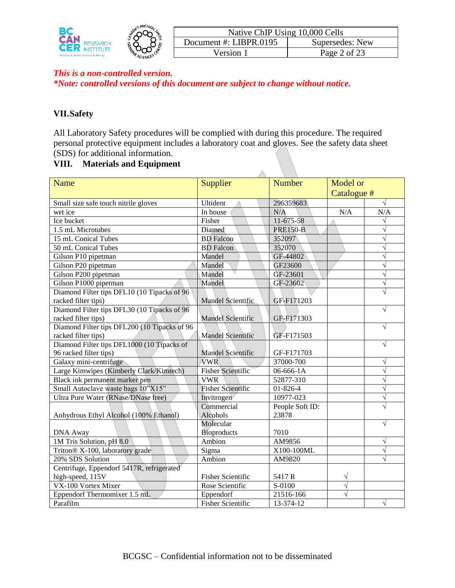

# *This is a non-controlled version.*

*\*Note: controlled versions of this document are subject to change without notice.*

### **VII.Safety**

All Laboratory Safety procedures will be complied with during this procedure. The required personal protective equipment includes a laboratory coat and gloves. See the safety data sheet (SDS) for additional information.

### **VIII. Materials and Equipment**

| Name                                         | Supplier                 | Number          | Model or    |            |
|----------------------------------------------|--------------------------|-----------------|-------------|------------|
|                                              |                          |                 | Catalogue # |            |
| Small size safe touch nitrile gloves         | Ultident                 | 296359683       |             | $\sqrt{}$  |
| wet ice                                      | In house                 | N/A             | N/A         | N/A        |
| Ice bucket                                   | Fisher                   | $11-675-58$     |             | $\sqrt{}$  |
| 1.5 mL Microtubes                            | Diamed                   | <b>PRE150-B</b> |             | $\sqrt{}$  |
| 15 mL Conical Tubes                          | <b>BD</b> Falcon         | 352097          |             | $\sqrt{}$  |
| 50 mL Conical Tubes                          | <b>BD</b> Falcon         | 352070          |             | $\sqrt{}$  |
| Gilson P10 pipetman                          | Mandel                   | GF-44802        |             | $\sqrt{}$  |
| Gilson P20 pipetman                          | Mandel                   | GF23600         |             | $\sqrt{2}$ |
| Gilson P200 pipetman                         | Mandel                   | GF-23601        |             | $\sqrt{ }$ |
| Gilson P1000 pipetman                        | Mandel                   | GF-23602        |             | $\sqrt{}$  |
| Diamond Filter tips DFL10 (10 Tipacks of 96  |                          |                 |             | $\sqrt{ }$ |
| racked filter tips)                          | <b>Mandel Scientific</b> | GF-F171203      |             |            |
| Diamond Filter tips DFL30 (10 Tipacks of 96  |                          |                 |             | $\sqrt{ }$ |
| racked filter tips)                          | <b>Mandel Scientific</b> | GF-F171303      |             |            |
| Diamond Filter tips DFL200 (10 Tipacks of 96 |                          |                 |             | $\sqrt{ }$ |
| racked filter tips)                          | <b>Mandel Scientific</b> | GF-F171503      |             |            |
| Diamond Filter tips DFL1000 (10 Tipacks of   |                          |                 |             | $\sqrt{ }$ |
| 96 racked filter tips)                       | Mandel Scientific        | GF-F171703      |             |            |
| Galaxy mini-centrifuge                       | <b>VWR</b>               | 37000-700       |             | $\sqrt{ }$ |
| Large Kimwipes (Kimberly Clark/Kimtech)      | <b>Fisher Scientific</b> | 06-666-1A       |             | $\sqrt{ }$ |
| Black ink permanent marker pen               | <b>VWR</b>               | 52877-310       |             | $\sqrt{ }$ |
| Small Autoclave waste bags 10"X15"           | <b>Fisher Scientific</b> | $01 - 826 - 4$  |             | $\sqrt{2}$ |
| Ultra Pure Water (RNase/DNase free)          | Invitrogen               | 10977-023       |             | $\sqrt{ }$ |
|                                              | Commercial               | People Soft ID: |             | $\sqrt{ }$ |
| Anhydrous Ethyl Alcohol (100% Ethanol)       | Alcohols                 | 23878           |             |            |
|                                              | Molecular                |                 |             | V          |
| <b>DNA Away</b>                              | <b>Bioproducts</b>       | 7010            |             |            |
| 1M Tris Solution, pH 8.0                     | Ambion                   | AM9856          |             | $\sqrt{ }$ |
| Triton® X-100, laboratory grade              | Sigma                    | X100-100ML      |             | $\sqrt{ }$ |
| 20% SDS Solution                             | Ambion                   | AM9820          |             |            |
| Centrifuge, Eppendorf 5417R, refrigerated    |                          |                 |             |            |
| high-speed, 115V                             | <b>Fisher Scientific</b> | 5417R           | V           |            |
| VX-100 Vortex Mixer                          | Rose Scientific          | S-0100          | $\sqrt{}$   |            |
| Eppendorf Thermomixer 1.5 mL                 | Eppendorf                | 21516-166       | $\sqrt{}$   |            |
| Parafilm                                     | <b>Fisher Scientific</b> | 13-374-12       |             | $\sqrt{}$  |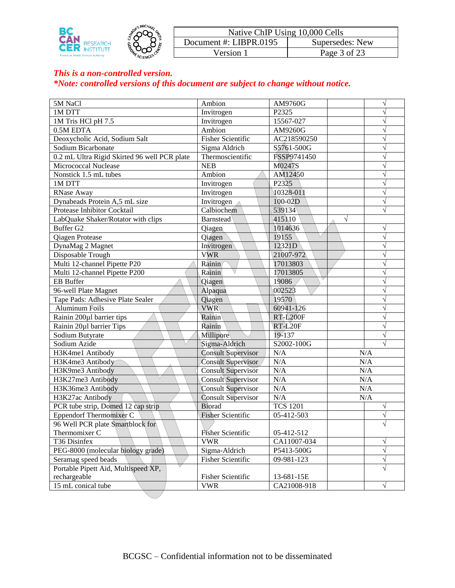|                                             | <b>MICHAR</b> | Native ChIP Using 10,000 Cells |                  |
|---------------------------------------------|---------------|--------------------------------|------------------|
|                                             | - 44          | Document #: LIBPR.0195         | Supersedes: New  |
| <b>Provincial Health Services Authority</b> | SCIENCE       | ersion                         | 3 of 23<br>Page: |

| 5M NaCl                                      | Ambion                    | AM9760G         |            | N             |
|----------------------------------------------|---------------------------|-----------------|------------|---------------|
| 1M DTT                                       | Invitrogen                | P2325           |            | N             |
| 1M Tris HCl pH 7.5                           | Invitrogen                | 15567-027       |            | N             |
| 0.5M EDTA                                    | Ambion                    | AM9260G         |            | N             |
| Deoxycholic Acid, Sodium Salt                | <b>Fisher Scientific</b>  | AC218590250     |            | N             |
| Sodium Bicarbonate                           | Sigma Aldrich             | S5761-500G      |            | N             |
| 0.2 mL Ultra Rigid Skirted 96 well PCR plate | Thermoscientific          | FSSP9741450     |            | N             |
| Micrococcal Nuclease                         | <b>NEB</b>                | M0247S          |            | N             |
| Nonstick 1.5 mL tubes                        | Ambion                    | AM12450         |            | N             |
| 1M DTT                                       | Invitrogen                | P2325           |            | N             |
| RNase Away                                   | Invitrogen                | 10328-011       |            | N             |
| Dynabeads Protein A,5 mL size                | Invitrogen                | 100-02D         |            | N             |
| Protease Inhibitor Cocktail                  | Calbiochem                | 539134          |            |               |
| LabQuake Shaker/Rotator with clips           | <b>Barnstead</b>          | 415110          | $\sqrt{ }$ |               |
| <b>Buffer G2</b>                             | Qiagen                    | 1014636         |            | V             |
| Qiagen Protease                              | Qiagen                    | 19155           |            | N             |
| DynaMag 2 Magnet                             | Invitrogen                | 12321D          |            | $\mathcal{L}$ |
| Disposable Trough                            | <b>VWR</b>                | 21007-972       |            |               |
| Multi 12-channel Pipette P20                 | Rainin                    | 17013803        |            |               |
| Multi 12-channel Pipette P200                | Rainin                    | 17013805        |            |               |
| <b>EB</b> Buffer                             | Qiagen                    | 19086           |            |               |
| 96-well Plate Magnet                         | Alpaqua                   | 002523          |            |               |
| Tape Pads: Adhesive Plate Sealer             | Qiagen                    | 19570           |            |               |
| <b>Aluminum Foils</b>                        | <b>VWR</b>                | 60941-126       |            |               |
| Rainin 200µ1 barrier tips                    | Rainin                    | <b>RT-L200F</b> |            |               |
| Rainin 20µ1 barrier Tips                     | Rainin                    | RT-L20F         |            |               |
| Sodium Butyrate                              | Millipore                 | 19-137          |            |               |
| Sodium Azide                                 | Sigma-Aldrich             | S2002-100G      |            |               |
| H3K4me1 Antibody                             | <b>Consult Supervisor</b> | $\rm N/A$       | N/A        |               |
| H3K4me3 Antibody                             | <b>Consult Supervisor</b> | N/A             | N/A        |               |
| H3K9me3 Antibody                             | <b>Consult Supervisor</b> | N/A             | N/A        |               |
| H3K27me3 Antibody                            | Consult Supervisor        | $\rm N/A$       | N/A        |               |
| H3K36me3 Antibody                            | <b>Consult Supervisor</b> | $\rm N/A$       | N/A        |               |
| H3K27ac Antibody                             | <b>Consult Supervisor</b> | N/A             | N/A        |               |
| PCR tube strip, Domed 12 cap strip           | <b>Biorad</b>             | <b>TCS</b> 1201 |            | V             |
| <b>Eppendorf Thermomixer C</b>               | <b>Fisher Scientific</b>  | 05-412-503      |            | N             |
| 96 Well PCR plate Smartblock for             |                           |                 |            |               |
| Thermomixer C                                | Fisher Scientific         | 05-412-512      |            |               |
| T36 Disinfex                                 | <b>VWR</b>                | CA11007-034     |            | V             |
| PEG-8000 (molecular biology grade)           | Sigma-Aldrich             | P5413-500G      |            | $\sqrt{}$     |
| Seramag speed beads                          | Fisher Scientific         | 09-981-123      |            | $\sqrt{}$     |
| Portable Pipett Aid, Multispeed XP,          |                           |                 |            | $\sqrt{}$     |
| rechargeable                                 | Fisher Scientific         | 13-681-15E      |            |               |
| 15 mL conical tube                           | <b>VWR</b>                | CA21008-918     |            | $\sqrt{}$     |
|                                              |                           |                 |            |               |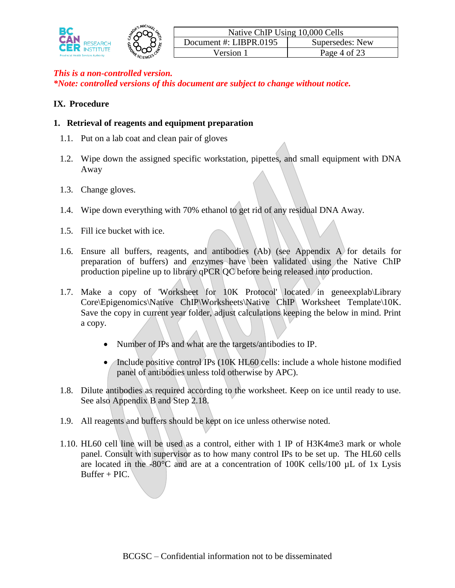

### **IX. Procedure**

#### **1. Retrieval of reagents and equipment preparation**

- 1.1. Put on a lab coat and clean pair of gloves
- 1.2. Wipe down the assigned specific workstation, pipettes, and small equipment with DNA Away
- 1.3. Change gloves.
- 1.4. Wipe down everything with 70% ethanol to get rid of any residual DNA Away.
- 1.5. Fill ice bucket with ice.
- 1.6. Ensure all buffers, reagents, and antibodies (Ab) (see Appendix A for details for preparation of buffers) and enzymes have been validated using the Native ChIP production pipeline up to library qPCR QC before being released into production.
- 1.7. Make a copy of 'Worksheet for 10K Protocol' located in geneexplab\Library Core\Epigenomics\Native ChIP\Worksheets\Native ChIP Worksheet Template\10K. Save the copy in current year folder, adjust calculations keeping the below in mind. Print a copy.
	- Number of IPs and what are the targets/antibodies to IP.
	- Include positive control IPs (10K HL60 cells: include a whole histone modified panel of antibodies unless told otherwise by APC).
- 1.8. Dilute antibodies as required according to the worksheet. Keep on ice until ready to use. See also Appendix B and Step 2.18.
- 1.9. All reagents and buffers should be kept on ice unless otherwise noted.
- 1.10. HL60 cell line will be used as a control, either with 1 IP of H3K4me3 mark or whole panel. Consult with supervisor as to how many control IPs to be set up. The HL60 cells are located in the  $-80^{\circ}$ C and are at a concentration of 100K cells/100  $\mu$ L of 1x Lysis  $Buffer + PIC.$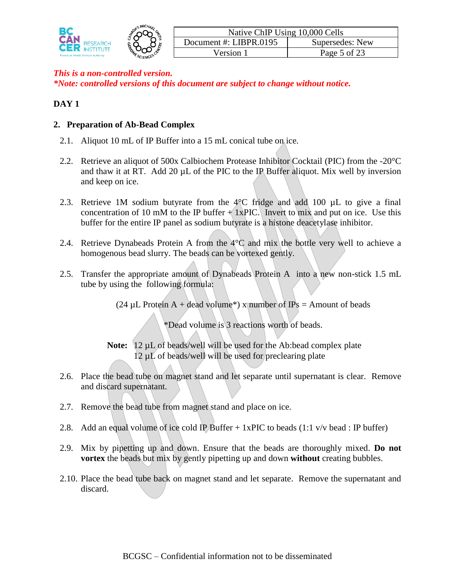

### **DAY 1**

### **2. Preparation of Ab-Bead Complex**

- 2.1. Aliquot 10 mL of IP Buffer into a 15 mL conical tube on ice.
- 2.2. Retrieve an aliquot of 500x Calbiochem Protease Inhibitor Cocktail (PIC) from the -20°C and thaw it at RT. Add 20  $\mu$ L of the PIC to the IP Buffer aliquot. Mix well by inversion and keep on ice.
- 2.3. Retrieve 1M sodium butyrate from the 4°C fridge and add 100 µL to give a final concentration of 10 mM to the IP buffer  $+ 1x$ PIC. Invert to mix and put on ice. Use this buffer for the entire IP panel as sodium butyrate is a histone deacetylase inhibitor.
- 2.4. Retrieve Dynabeads Protein A from the  $4^{\circ}$ C and mix the bottle very well to achieve a homogenous bead slurry. The beads can be vortexed gently.
- 2.5. Transfer the appropriate amount of Dynabeads Protein A into a new non-stick 1.5 mL tube by using the following formula:

(24 µL Protein A + dead volume\*) x number of  $IPs =$  Amount of beads

\*Dead volume is 3 reactions worth of beads.

Note: 12 µL of beads/well will be used for the Ab:bead complex plate  $12 \mu L$  of beads/well will be used for preclearing plate

- 2.6. Place the bead tube on magnet stand and let separate until supernatant is clear. Remove and discard supernatant.
- 2.7. Remove the bead tube from magnet stand and place on ice.
- 2.8. Add an equal volume of ice cold IP Buffer + 1xPIC to beads (1:1 v/v bead : IP buffer)
- 2.9. Mix by pipetting up and down. Ensure that the beads are thoroughly mixed. **Do not vortex** the beads but mix by gently pipetting up and down **without** creating bubbles.
- 2.10. Place the bead tube back on magnet stand and let separate. Remove the supernatant and discard.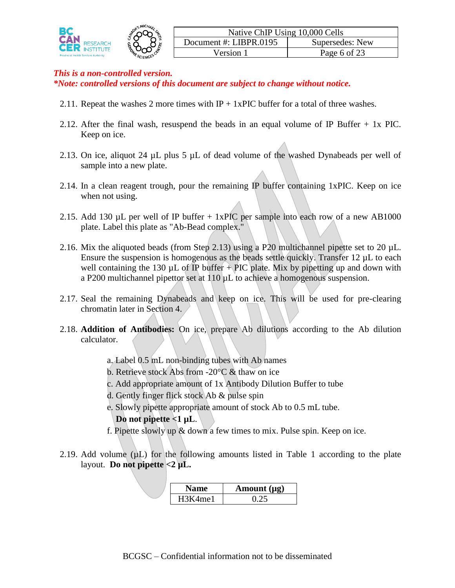

- 2.11. Repeat the washes 2 more times with  $IP + 1xPIC$  buffer for a total of three washes.
- 2.12. After the final wash, resuspend the beads in an equal volume of IP Buffer + 1x PIC. Keep on ice.
- 2.13. On ice, aliquot 24  $\mu$ L plus 5  $\mu$ L of dead volume of the washed Dynabeads per well of sample into a new plate.
- 2.14. In a clean reagent trough, pour the remaining IP buffer containing 1xPIC. Keep on ice when not using.
- 2.15. Add 130  $\mu$ L per well of IP buffer + 1xPIC per sample into each row of a new AB1000 plate. Label this plate as "Ab-Bead complex."
- 2.16. Mix the aliquoted beads (from Step 2.13) using a P20 multichannel pipette set to 20  $\mu$ L. Ensure the suspension is homogenous as the beads settle quickly. Transfer 12  $\mu$ L to each well containing the 130  $\mu$ L of IP buffer + PIC plate. Mix by pipetting up and down with a P200 multichannel pipettor set at 110 µL to achieve a homogenous suspension.
- 2.17. Seal the remaining Dynabeads and keep on ice. This will be used for pre-clearing chromatin later in Section 4.
- 2.18. **Addition of Antibodies:** On ice, prepare Ab dilutions according to the Ab dilution calculator.
	- a. Label 0.5 mL non-binding tubes with Ab names
	- b. Retrieve stock Abs from -20 $\degree$ C & thaw on ice
	- c. Add appropriate amount of 1x Antibody Dilution Buffer to tube
	- d. Gently finger flick stock Ab & pulse spin
	- e. Slowly pipette appropriate amount of stock Ab to 0.5 mL tube. **Do not pipette <1 µL**.
	- f. Pipette slowly up & down a few times to mix. Pulse spin. Keep on ice.
- 2.19. Add volume ( $\mu$ L) for the following amounts listed in Table 1 according to the plate layout. **Do not pipette <2 µL.**

| <b>Jame</b> | Amount $(\mu g)$ |
|-------------|------------------|
| H3K4me1     |                  |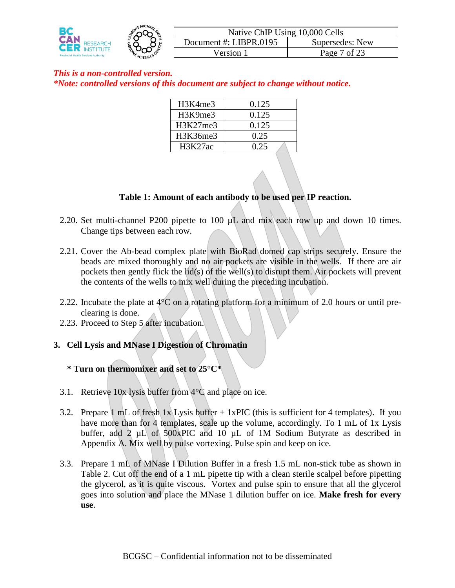

| H3K4me3                          | 0.125 |
|----------------------------------|-------|
| H3K9me3                          | 0.125 |
| H3K27me3                         | 0.125 |
| H3K36me3                         | 0.25  |
| H <sub>3</sub> K <sub>27ac</sub> | 0.25  |

#### **Table 1: Amount of each antibody to be used per IP reaction.**

- 2.20. Set multi-channel P200 pipette to 100 µL and mix each row up and down 10 times. Change tips between each row.
- 2.21. Cover the Ab-bead complex plate with BioRad domed cap strips securely. Ensure the beads are mixed thoroughly and no air pockets are visible in the wells. If there are air pockets then gently flick the lid(s) of the well(s) to disrupt them. Air pockets will prevent the contents of the wells to mix well during the preceding incubation.
- 2.22. Incubate the plate at  $4^{\circ}$ C on a rotating platform for a minimum of 2.0 hours or until preclearing is done.
- 2.23. Proceed to Step 5 after incubation.

#### **3. Cell Lysis and MNase I Digestion of Chromatin**

- **\* Turn on thermomixer and set to 25°C\***
- 3.1. Retrieve 10x lysis buffer from 4°C and place on ice.
- 3.2. Prepare 1 mL of fresh 1x Lysis buffer + 1xPIC (this is sufficient for 4 templates). If you have more than for 4 templates, scale up the volume, accordingly. To 1 mL of 1x Lysis buffer, add 2 µL of 500xPIC and 10 µL of 1M Sodium Butyrate as described in Appendix A. Mix well by pulse vortexing. Pulse spin and keep on ice.
- 3.3. Prepare 1 mL of MNase I Dilution Buffer in a fresh 1.5 mL non-stick tube as shown in Table 2. Cut off the end of a 1 mL pipette tip with a clean sterile scalpel before pipetting the glycerol, as it is quite viscous. Vortex and pulse spin to ensure that all the glycerol goes into solution and place the MNase 1 dilution buffer on ice. **Make fresh for every use**.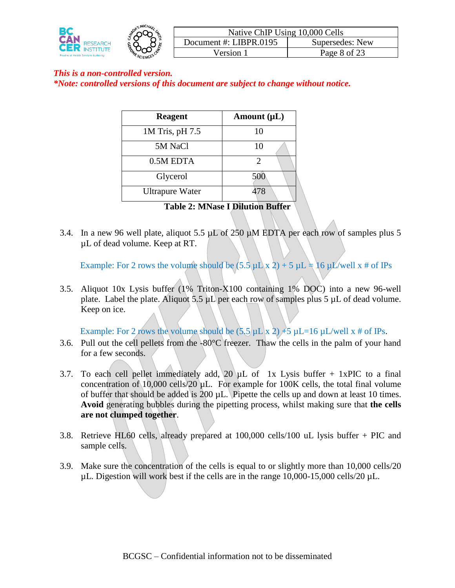

| Native ChIP Using 10,000 Cells            |              |  |  |
|-------------------------------------------|--------------|--|--|
| Document #: LIBPR.0195<br>Supersedes: New |              |  |  |
| Version 1                                 | Page 8 of 23 |  |  |

| <b>Reagent</b>         | Amount $(\mu L)$ |
|------------------------|------------------|
| 1M Tris, pH 7.5        | 10               |
| 5M NaCl                | 10               |
| 0.5M EDTA              |                  |
| Glycerol               | 500              |
| <b>Ultrapure Water</b> | 178              |

**Table 2: MNase I Dilution Buffer**

3.4. In a new 96 well plate, aliquot 5.5  $\mu$ L of 250  $\mu$ M EDTA per each row of samples plus 5 µL of dead volume. Keep at RT.

Example: For 2 rows the volume should be  $(5.5 \mu L)x 2$  + 5  $\mu L \neq 16 \mu L/well x #$  of IPs

3.5. Aliquot 10x Lysis buffer (1% Triton-X100 containing 1% DOC) into a new 96-well plate. Label the plate. Aliquot 5.5 µL per each row of samples plus 5 µL of dead volume. Keep on ice.

Example: For 2 rows the volume should be  $(5.5)$ µL $\overline{x}$  2)  $\overline{+5}$  µL=16 µL/well x # of IPs.

- 3.6. Pull out the cell pellets from the  $-80^{\circ}$ C freezer. Thaw the cells in the palm of your hand for a few seconds.
- 3.7. To each cell pellet immediately add,  $20 \mu L$  of 1x Lysis buffer + 1xPIC to a final concentration of 10,000 cells/20  $\mu$ L. For example for 100K cells, the total final volume of buffer that should be added is  $200 \mu L$ . Pipette the cells up and down at least 10 times. **Avoid** generating bubbles during the pipetting process, whilst making sure that **the cells are not clumped together**.
- 3.8. Retrieve HL60 cells, already prepared at 100,000 cells/100 uL lysis buffer + PIC and sample cells.
- 3.9. Make sure the concentration of the cells is equal to or slightly more than 10,000 cells/20  $\mu$ L. Digestion will work best if the cells are in the range 10,000-15,000 cells/20  $\mu$ L.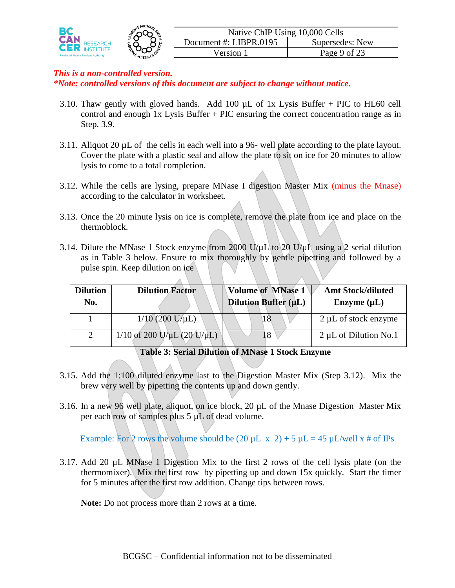|                                             | <b>MICHAA</b>                                 | Native ChIP Using 10,000 Cells |                 |
|---------------------------------------------|-----------------------------------------------|--------------------------------|-----------------|
|                                             | . 뿐                                           | Document #: LIBPR.0195         | Supersedes: New |
| <b>Provincial Health Services Authority</b> | $\mathcal{H}_{\mathcal{F}}$<br><b>SCIENCE</b> | $'$ ersion                     | Page 9 of 23    |

- 3.10. Thaw gently with gloved hands. Add 100  $\mu$ L of 1x Lysis Buffer + PIC to HL60 cell control and enough 1x Lysis Buffer + PIC ensuring the correct concentration range as in Step. 3.9.
- 3.11. Aliquot  $20 \mu L$  of the cells in each well into a 96- well plate according to the plate layout. Cover the plate with a plastic seal and allow the plate to sit on ice for 20 minutes to allow lysis to come to a total completion.
- 3.12. While the cells are lysing, prepare MNase I digestion Master Mix (minus the Mnase) according to the calculator in worksheet.
- 3.13. Once the 20 minute lysis on ice is complete, remove the plate from ice and place on the thermoblock.
- 3.14. Dilute the MNase 1 Stock enzyme from 2000 U/ $\mu$ L to 20 U/ $\mu$ L using a 2 serial dilution as in Table 3 below. Ensure to mix thoroughly by gentle pipetting and followed by a pulse spin. Keep dilution on ice

| <b>Dilution</b><br>No. | <b>Dilution Factor</b>       | <b>Volume of MNase 1</b><br>Dilution Buffer (µL) | <b>Amt Stock/diluted</b><br>Enzyme $(\mu L)$ |
|------------------------|------------------------------|--------------------------------------------------|----------------------------------------------|
|                        | $1/10$ (200 U/µL)            |                                                  | $2 \mu L$ of stock enzyme                    |
| 2                      | $1/10$ of 200 U/µL (20 U/µL) | 18                                               | $2 \mu L$ of Dilution No.1                   |

**Table 3: Serial Dilution of MNase 1 Stock Enzyme**

- 3.15. Add the 1:100 diluted enzyme last to the Digestion Master Mix (Step 3.12). Mix the brew very well by pipetting the contents up and down gently.
- 3.16. In a new 96 well plate, aliquot, on ice block, 20 µL of the Mnase Digestion Master Mix per each row of samples plus 5 µL of dead volume.

Example: For 2 rows the volume should be  $(20 \mu L \times 2) + 5 \mu L = 45 \mu L$ /well x # of IPs

3.17. Add 20 µL MNase 1 Digestion Mix to the first 2 rows of the cell lysis plate (on the thermomixer). Mix the first row by pipetting up and down 15x quickly. Start the timer for 5 minutes after the first row addition. Change tips between rows.

**Note:** Do not process more than 2 rows at a time.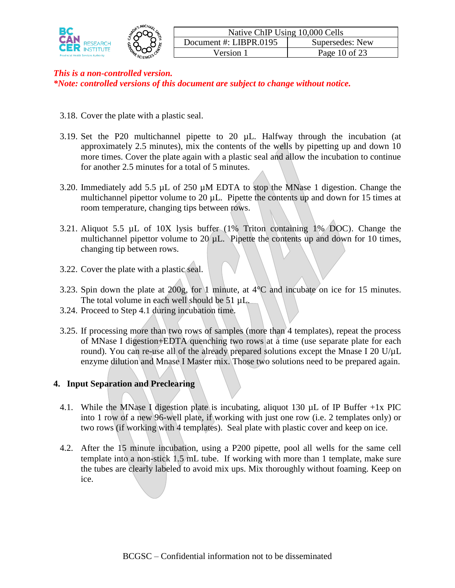

- 3.18. Cover the plate with a plastic seal.
- 3.19. Set the P20 multichannel pipette to 20 µL. Halfway through the incubation (at approximately 2.5 minutes), mix the contents of the wells by pipetting up and down 10 more times. Cover the plate again with a plastic seal and allow the incubation to continue for another 2.5 minutes for a total of 5 minutes.
- 3.20. Immediately add 5.5 µL of 250 µM EDTA to stop the MNase 1 digestion. Change the multichannel pipettor volume to 20 µL. Pipette the contents up and down for 15 times at room temperature, changing tips between rows.
- 3.21. Aliquot 5.5 µL of 10X lysis buffer (1% Triton containing 1% DOC). Change the multichannel pipettor volume to  $20 \mu L$ . Pipette the contents up and down for 10 times, changing tip between rows.
- 3.22. Cover the plate with a plastic seal.
- 3.23. Spin down the plate at 200g, for 1 minute, at 4°C and incubate on ice for 15 minutes. The total volume in each well should be 51 µL.
- 3.24. Proceed to Step 4.1 during incubation time.
- 3.25. If processing more than two rows of samples (more than 4 templates), repeat the process of MNase I digestion+EDTA quenching two rows at a time (use separate plate for each round). You can re-use all of the already prepared solutions except the Mnase I 20 U/ $\mu$ L enzyme dilution and Mnase I Master mix. Those two solutions need to be prepared again.

#### **4. Input Separation and Preclearing**

- 4.1. While the MNase I digestion plate is incubating, aliquot 130 µL of IP Buffer +1x PIC into 1 row of a new 96-well plate, if working with just one row (i.e. 2 templates only) or two rows (if working with 4 templates). Seal plate with plastic cover and keep on ice.
- 4.2. After the 15 minute incubation, using a P200 pipette, pool all wells for the same cell template into a non-stick 1.5 mL tube. If working with more than 1 template, make sure the tubes are clearly labeled to avoid mix ups. Mix thoroughly without foaming. Keep on ice.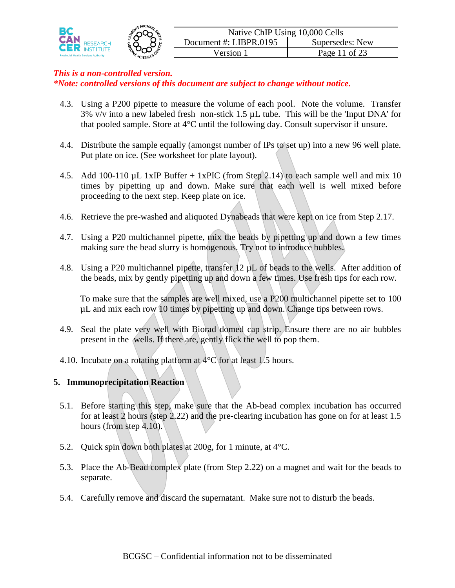|                                             |            | <b>MICHA</b><br>Native ChIP Using 10,000 Cells |                       |
|---------------------------------------------|------------|------------------------------------------------|-----------------------|
|                                             | - 44       | Document #: LIBPR.0195                         | Supersedes: New       |
| <b>Provincial Health Services Authority</b> | MESCIENCE- | ′ersi∩n                                        | $\alpha$ f 23<br>Page |

- 4.3. Using a P200 pipette to measure the volume of each pool. Note the volume. Transfer  $3\%$  v/v into a new labeled fresh non-stick 1.5  $\mu$ L tube. This will be the 'Input DNA' for that pooled sample. Store at 4°C until the following day. Consult supervisor if unsure.
- 4.4. Distribute the sample equally (amongst number of IPs to set up) into a new 96 well plate. Put plate on ice. (See worksheet for plate layout).
- 4.5. Add 100-110  $\mu$ L 1xIP Buffer + 1xPIC (from Step 2.14) to each sample well and mix 10 times by pipetting up and down. Make sure that each well is well mixed before proceeding to the next step. Keep plate on ice.
- 4.6. Retrieve the pre-washed and aliquoted Dynabeads that were kept on ice from Step 2.17.
- 4.7. Using a P20 multichannel pipette, mix the beads by pipetting up and down a few times making sure the bead slurry is homogenous. Try not to introduce bubbles.
- 4.8. Using a P20 multichannel pipette, transfer 12  $\mu$ L of beads to the wells. After addition of the beads, mix by gently pipetting up and down a few times. Use fresh tips for each row.

To make sure that the samples are well mixed, use a P200 multichannel pipette set to 100 µL and mix each row 10 times by pipetting up and down. Change tips between rows.

- 4.9. Seal the plate very well with Biorad domed cap strip. Ensure there are no air bubbles present in the wells. If there are, gently flick the well to pop them.
- 4.10. Incubate on a rotating platform at 4<sup>o</sup>C for at least 1.5 hours.

#### **5. Immunoprecipitation Reaction**

- 5.1. Before starting this step, make sure that the Ab-bead complex incubation has occurred for at least 2 hours (step 2.22) and the pre-clearing incubation has gone on for at least 1.5 hours (from step 4.10).
- 5.2. Quick spin down both plates at 200g, for 1 minute, at 4°C.
- 5.3. Place the Ab-Bead complex plate (from Step 2.22) on a magnet and wait for the beads to separate.
- 5.4. Carefully remove and discard the supernatant. Make sure not to disturb the beads.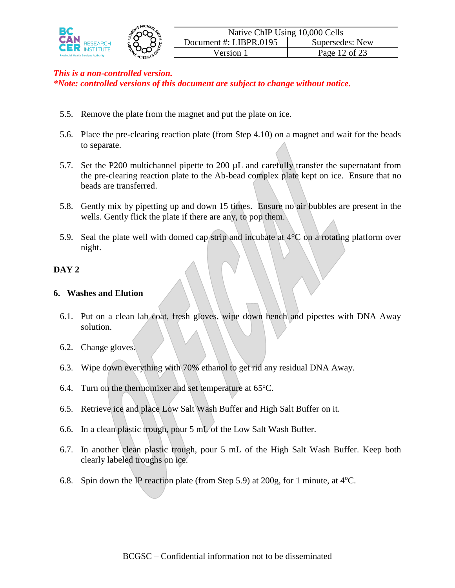

- 5.5. Remove the plate from the magnet and put the plate on ice.
- 5.6. Place the pre-clearing reaction plate (from Step 4.10) on a magnet and wait for the beads to separate.
- 5.7. Set the P200 multichannel pipette to 200 µL and carefully transfer the supernatant from the pre-clearing reaction plate to the Ab-bead complex plate kept on ice. Ensure that no beads are transferred.
- 5.8. Gently mix by pipetting up and down 15 times. Ensure no air bubbles are present in the wells. Gently flick the plate if there are any, to pop them.
- 5.9. Seal the plate well with domed cap strip and incubate at  $4^{\circ}$ C on a rotating platform over night.

### **DAY 2**

### **6. Washes and Elution**

- 6.1. Put on a clean lab coat, fresh gloves, wipe down bench and pipettes with DNA Away solution.
- 6.2. Change gloves.
- 6.3. Wipe down everything with 70% ethanol to get rid any residual DNA Away.
- 6.4. Turn on the thermomixer and set temperature at  $65^{\circ}$ C.
- 6.5. Retrieve ice and place Low Salt Wash Buffer and High Salt Buffer on it.
- 6.6. In a clean plastic trough, pour 5 mL of the Low Salt Wash Buffer.
- 6.7. In another clean plastic trough, pour 5 mL of the High Salt Wash Buffer. Keep both clearly labeled troughs on ice.
- 6.8. Spin down the IP reaction plate (from Step 5.9) at 200g, for 1 minute, at  $4^{\circ}$ C.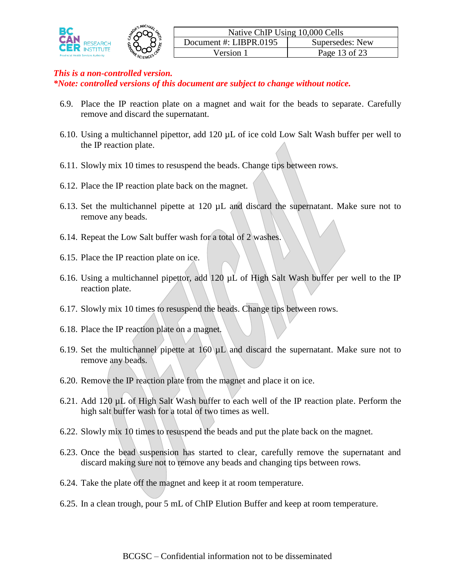|                                             | <b>MICHAR</b>                           | Native ChIP Using 10,000 Cells |                 |  |
|---------------------------------------------|-----------------------------------------|--------------------------------|-----------------|--|
| FSEARCH                                     | - 44                                    | Document #: LIBPR.0195         | Supersedes: New |  |
| <b>Provincial Health Services Authority</b> | $\mathcal{H}_{\mathcal{F}}$<br>SCIENCES | ersion                         | Page 13 of 23   |  |

- 6.9. Place the IP reaction plate on a magnet and wait for the beads to separate. Carefully remove and discard the supernatant.
- 6.10. Using a multichannel pipettor, add 120 µL of ice cold Low Salt Wash buffer per well to the IP reaction plate.
- 6.11. Slowly mix 10 times to resuspend the beads. Change tips between rows.
- 6.12. Place the IP reaction plate back on the magnet.
- 6.13. Set the multichannel pipette at  $120 \mu L$  and discard the supernatant. Make sure not to remove any beads.
- 6.14. Repeat the Low Salt buffer wash for a total of 2 washes.
- 6.15. Place the IP reaction plate on ice.
- 6.16. Using a multichannel pipettor, add  $120 \mu L$  of High Salt Wash buffer per well to the IP reaction plate.
- 6.17. Slowly mix 10 times to resuspend the beads. Change tips between rows.
- 6.18. Place the IP reaction plate on a magnet.
- 6.19. Set the multichannel pipette at  $160 \mu L$  and discard the supernatant. Make sure not to remove any beads.
- 6.20. Remove the IP reaction plate from the magnet and place it on ice.
- 6.21. Add 120 µL of High Salt Wash buffer to each well of the IP reaction plate. Perform the high salt buffer wash for a total of two times as well.
- 6.22. Slowly mix 10 times to resuspend the beads and put the plate back on the magnet.
- 6.23. Once the bead suspension has started to clear, carefully remove the supernatant and discard making sure not to remove any beads and changing tips between rows.
- 6.24. Take the plate off the magnet and keep it at room temperature.
- 6.25. In a clean trough, pour 5 mL of ChIP Elution Buffer and keep at room temperature.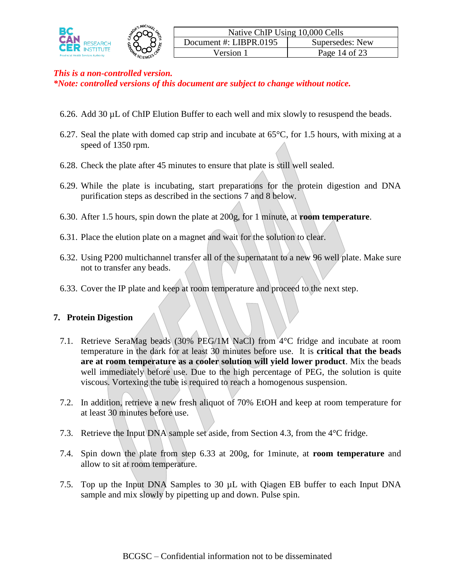



| Native ChIP Using 10,000 Cells            |               |  |
|-------------------------------------------|---------------|--|
| Document #: LIBPR.0195<br>Supersedes: New |               |  |
| Version 1                                 | Page 14 of 23 |  |

#### *This is a non-controlled version.*

*\*Note: controlled versions of this document are subject to change without notice.*

- 6.26. Add 30  $\mu$ L of ChIP Elution Buffer to each well and mix slowly to resuspend the beads.
- 6.27. Seal the plate with domed cap strip and incubate at 65°C, for 1.5 hours, with mixing at a speed of 1350 rpm.
- 6.28. Check the plate after 45 minutes to ensure that plate is still well sealed.
- 6.29. While the plate is incubating, start preparations for the protein digestion and DNA purification steps as described in the sections 7 and 8 below.
- 6.30. After 1.5 hours, spin down the plate at 200g, for 1 minute, at **room temperature**.
- 6.31. Place the elution plate on a magnet and wait for the solution to clear.
- 6.32. Using P200 multichannel transfer all of the supernatant to a new 96 well plate. Make sure not to transfer any beads.
- 6.33. Cover the IP plate and keep at room temperature and proceed to the next step.

#### **7. Protein Digestion**

- 7.1. Retrieve SeraMag beads (30% PEG/1M NaCl) from 4°C fridge and incubate at room temperature in the dark for at least 30 minutes before use. It is **critical that the beads are at room temperature as a cooler solution will yield lower product**. Mix the beads well immediately before use. Due to the high percentage of PEG, the solution is quite viscous. Vortexing the tube is required to reach a homogenous suspension.
- 7.2. In addition, retrieve a new fresh aliquot of 70% EtOH and keep at room temperature for at least 30 minutes before use.
- 7.3. Retrieve the Input DNA sample set aside, from Section 4.3, from the 4°C fridge.
- 7.4. Spin down the plate from step 6.33 at 200g, for 1minute, at **room temperature** and allow to sit at room temperature.
- 7.5. Top up the Input DNA Samples to 30 µL with Qiagen EB buffer to each Input DNA sample and mix slowly by pipetting up and down. Pulse spin.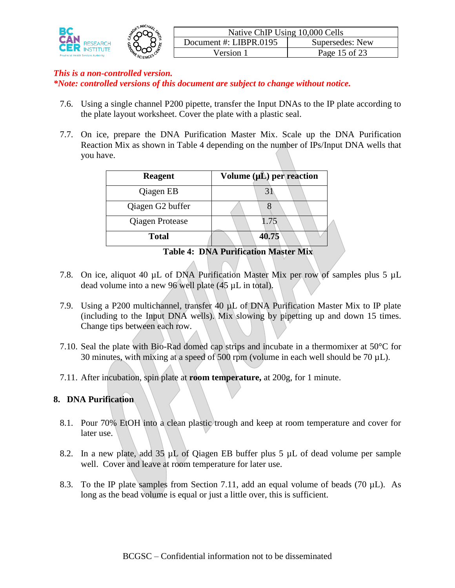|                                             | <b>MICHAA</b>  | Native ChIP Using 10,000 Cells |                    |  |
|---------------------------------------------|----------------|--------------------------------|--------------------|--|
| <b>RESEARCH</b>                             | ᄴ              | Document #: $LIBPR.0195$       | Supersedes: New    |  |
| <b>Provincial Health Services Authority</b> | <b>SCIENCE</b> | 'ersion                        | of $23$<br>Page 15 |  |

- 7.6. Using a single channel P200 pipette, transfer the Input DNAs to the IP plate according to the plate layout worksheet. Cover the plate with a plastic seal.
- 7.7. On ice, prepare the DNA Purification Master Mix. Scale up the DNA Purification Reaction Mix as shown in Table 4 depending on the number of IPs/Input DNA wells that you have.

| <b>Reagent</b>         | Volume $(\mu L)$ per reaction |
|------------------------|-------------------------------|
| Qiagen EB              |                               |
| Qiagen G2 buffer       |                               |
| <b>Qiagen Protease</b> | 1.75                          |
| <b>Total</b>           | 40.75                         |

**Table 4: DNA Purification Master Mix**

- 7.8. On ice, aliquot 40 µL of DNA Purification Master Mix per row of samples plus 5 µL dead volume into a new 96 well plate (45 µL in total).
- 7.9. Using a P200 multichannel, transfer 40 µL of DNA Purification Master Mix to IP plate (including to the Input DNA wells). Mix slowing by pipetting up and down 15 times. Change tips between each row.
- 7.10. Seal the plate with Bio-Rad domed cap strips and incubate in a thermomixer at 50°C for 30 minutes, with mixing at a speed of 500 rpm (volume in each well should be 70  $\mu$ L).
- 7.11. After incubation, spin plate at **room temperature,** at 200g, for 1 minute.

#### **8. DNA Purification**

- 8.1. Pour 70% EtOH into a clean plastic trough and keep at room temperature and cover for later use.
- 8.2. In a new plate, add 35 µL of Qiagen EB buffer plus 5 µL of dead volume per sample well. Cover and leave at room temperature for later use.
- 8.3. To the IP plate samples from Section 7.11, add an equal volume of beads  $(70 \mu L)$ . As long as the bead volume is equal or just a little over, this is sufficient.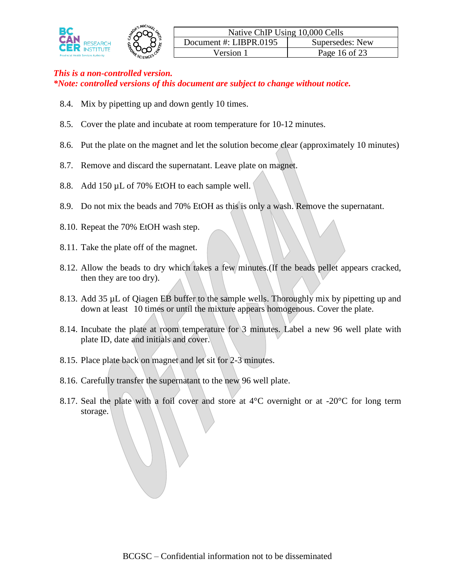

- 8.4. Mix by pipetting up and down gently 10 times.
- 8.5. Cover the plate and incubate at room temperature for 10-12 minutes.
- 8.6. Put the plate on the magnet and let the solution become clear (approximately 10 minutes)
- 8.7. Remove and discard the supernatant. Leave plate on magnet.
- 8.8. Add 150 µL of 70% EtOH to each sample well.
- 8.9. Do not mix the beads and 70% EtOH as this is only a wash. Remove the supernatant.
- 8.10. Repeat the 70% EtOH wash step.
- 8.11. Take the plate off of the magnet.
- 8.12. Allow the beads to dry which takes a few minutes.(If the beads pellet appears cracked, then they are too dry).
- 8.13. Add 35 µL of Qiagen EB buffer to the sample wells. Thoroughly mix by pipetting up and down at least 10 times or until the mixture appears homogenous. Cover the plate.
- 8.14. Incubate the plate at room temperature for 3 minutes. Label a new 96 well plate with plate ID, date and initials and cover.
- 8.15. Place plate back on magnet and let sit for 2-3 minutes.
- 8.16. Carefully transfer the supernatant to the new 96 well plate.
- 8.17. Seal the plate with a foil cover and store at  $4^{\circ}$ C overnight or at  $-20^{\circ}$ C for long term storage.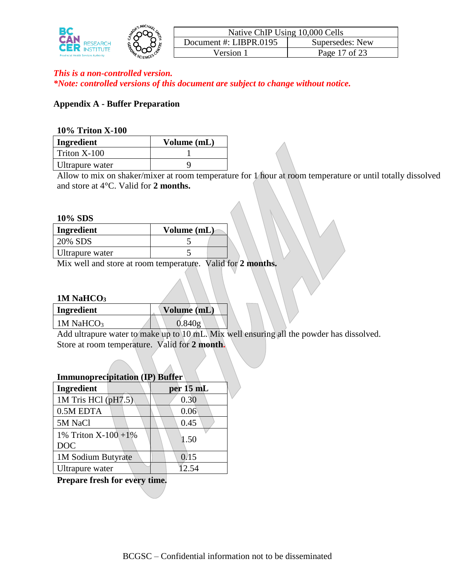

#### **Appendix A - Buffer Preparation**

#### **10% Triton X-100**

| Ingredient      | Volume (mL) |
|-----------------|-------------|
| Triton X-100    |             |
| Ultrapure water |             |

Allow to mix on shaker/mixer at room temperature for 1 hour at room temperature or until totally dissolved and store at 4°C. Valid for **2 months.**

#### **10% SDS**

| Volume (mL) |  |
|-------------|--|
|             |  |
|             |  |
|             |  |

Mix well and store at room temperature. Valid for **2 months.**

#### **1M NaHCO<sup>3</sup>**

| Ingredient            | Volume (mL) |  |
|-----------------------|-------------|--|
| 1M NaHCO <sub>3</sub> | 0.840g      |  |

Add ultrapure water to make up to 10 mL. Mix well ensuring all the powder has dissolved. Store at room temperature. Valid for **2 month.**

| Thinunoprecipitation (IP) builer    |           |
|-------------------------------------|-----------|
| Ingredient                          | per 15 mL |
| 1M Tris HCl $(pH7.5)$               | 0.30      |
| 0.5M EDTA                           | 0.06      |
| 5M NaCl                             | 0.45      |
| 1% Triton $X-100+1\%$<br><b>DOC</b> | 1.50      |
| 1M Sodium Butyrate                  | 0.15      |
| Ultrapure water                     | 12.54     |

#### **Immunoprecipitation (IP) Buffer**

**Prepare fresh for every time.**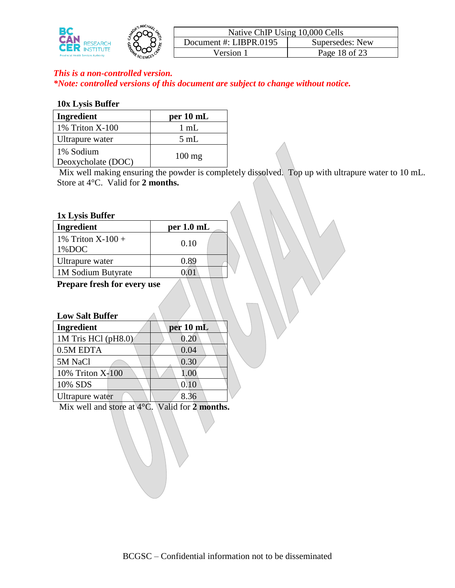

## *This is a non-controlled version.*

*\*Note: controlled versions of this document are subject to change without notice.*

#### **10x Lysis Buffer**

| Ingredient                      | per 10 mL        |
|---------------------------------|------------------|
| 1% Triton X-100                 | $1 \text{ mL}$   |
| Ultrapure water                 | $5 \text{ mL}$   |
| 1% Sodium<br>Deoxycholate (DOC) | $100 \text{ mg}$ |

Mix well making ensuring the powder is completely dissolved. Top up with ultrapure water to 10 mL. Store at 4°C. Valid for **2 months.**

#### **1x Lysis Buffer**

| Ingredient                   | per $1.0$ mL |
|------------------------------|--------------|
| 1% Triton $X-100 +$<br>1%DOC | 0.10         |
| Ultrapure water              | 0.89         |
| 1M Sodium Butyrate           |              |
|                              |              |

**Prepare fresh for every use**

### **Low Salt Buffer Ingredient per 10 mL** 1M Tris HCl (pH8.0)  $\vert$  0.20

| 0.5M EDTA                     | 0.04     |
|-------------------------------|----------|
| 5M NaCl                       | 0.30     |
| 10% Triton $X$ <sup>100</sup> | $1.00\,$ |
| 10% SDS                       | 0.10     |
| Ultrapure water               | 8.36     |

Mix well and store at 4°C. Valid for **2 months.**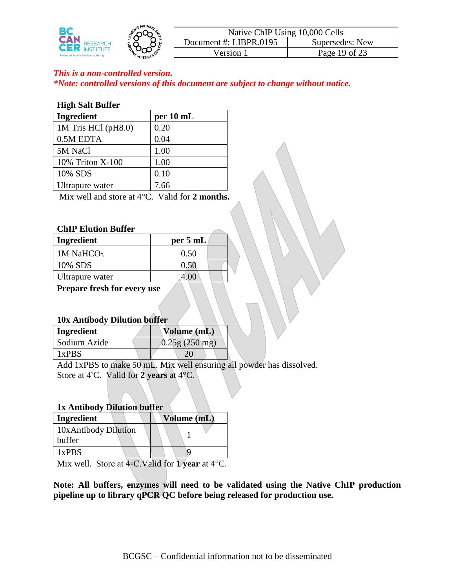

#### **High Salt Buffer**

| Ingredient            | per 10 mL |
|-----------------------|-----------|
| 1M Tris HCl $(pH8.0)$ | 0.20      |
| 0.5M EDTA             | 0.04      |
| 5M NaCl               | 1.00      |
| 10% Triton X-100      | 1.00      |
| 10% SDS               | 0.10      |
| Ultrapure water       | 7.66      |

Mix well and store at 4°C. Valid for **2 months.**

#### **ChIP Elution Buffer**

| Ingredient      | per 5 mL |  |
|-----------------|----------|--|
| 1M NaHC $O_3$   | 0.50     |  |
| 10% SDS         | 0.50     |  |
| Ultrapure water |          |  |

**Prepare fresh for every use**

#### **10x Antibody Dilution buffer**

| Ingredient   | Volume (mL)  |
|--------------|--------------|
| Sodium Azide | 0.25g(250mg) |
| $1x$ PBS     | 20           |

Add 1xPBS to make 50 mL. Mix well ensuring all powder has dissolved. Store at 4◦C. Valid for **2 years** at 4°C.

#### **1x Antibody Dilution buffer**

| Ingredient           | Volume (mL) |
|----------------------|-------------|
| 10xAntibody Dilution |             |
| buffer               |             |
| $1x$ PRS             |             |

Mix well. Store at 4◦C.Valid for **1 year** at 4°C.

**Note: All buffers, enzymes will need to be validated using the Native ChIP production pipeline up to library qPCR QC before being released for production use.**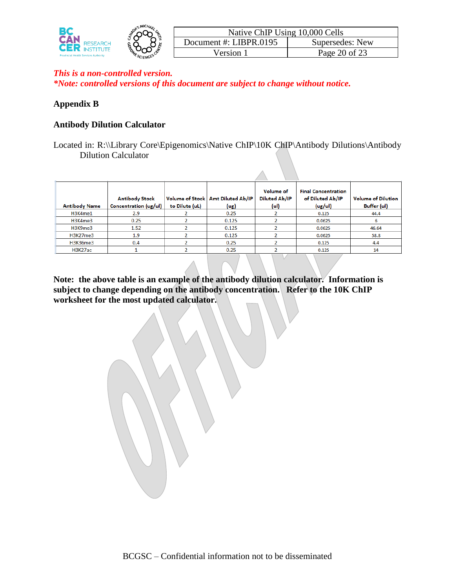

### **Appendix B**

#### **Antibody Dilution Calculator**

Located in: R:\\Library Core\Epigenomics\Native ChIP\10K ChIP\Antibody Dilutions\Antibody Dilution Calculator

 $\triangle$ 

| <b>Antibody Name</b> | <b>Antibody Stock</b><br>Concentration (ug/ul) | to Dilute (uL) | Volume of Stock   Amt Diluted Ab/IP<br>(ug) | <b>Volume of</b><br><b>Diluted Ab/IP</b><br>(ul) | <b>Final Concentration</b><br>of Diluted Ab/IP<br>(ug/u) | <b>Volume of Dilution</b><br>Buffer (ul) |
|----------------------|------------------------------------------------|----------------|---------------------------------------------|--------------------------------------------------|----------------------------------------------------------|------------------------------------------|
| H3K4me1              | 2.9                                            |                | 0.25                                        |                                                  | 0.125                                                    | 44.4                                     |
| H3K4me3              | 0.25                                           |                | 0.125                                       |                                                  | 0.0625                                                   | ь                                        |
| H3K9me3              | 1.52                                           |                | 0.125                                       |                                                  | 0.0625                                                   | 46.64                                    |
| H3K27me3             | 1.9                                            |                | 0.125                                       |                                                  | 0.0625                                                   | 58.8                                     |
| H3K36me3             | 0.4                                            |                | 0.25                                        |                                                  | 0.125                                                    | 4.4                                      |
| H3K27ac              |                                                |                | 0.25                                        |                                                  | 0.125                                                    | 14                                       |

**Note: the above table is an example of the antibody dilution calculator. Information is subject to change depending on the antibody concentration. Refer to the 10K ChIP worksheet for the most updated calculator.**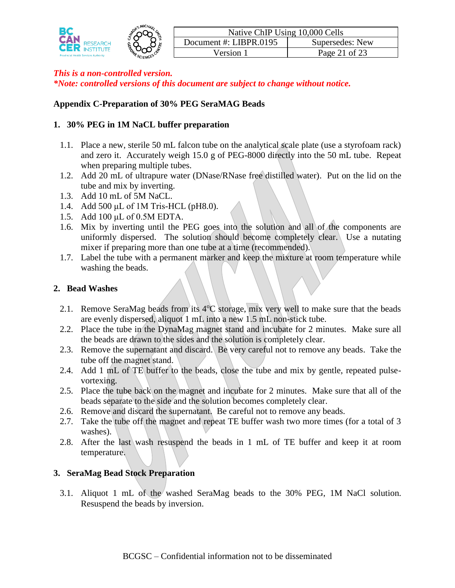

#### **Appendix C-Preparation of 30% PEG SeraMAG Beads**

### **1. 30% PEG in 1M NaCL buffer preparation**

- 1.1. Place a new, sterile 50 mL falcon tube on the analytical scale plate (use a styrofoam rack) and zero it. Accurately weigh 15.0 g of PEG-8000 directly into the 50 mL tube. Repeat when preparing multiple tubes.
- 1.2. Add 20 mL of ultrapure water (DNase/RNase free distilled water). Put on the lid on the tube and mix by inverting.
- 1.3. Add 10 mL of 5M NaCL.
- 1.4. Add 500 μL of 1M Tris-HCL (pH8.0).
- 1.5. Add 100 μL of 0.5M EDTA.
- 1.6. Mix by inverting until the PEG goes into the solution and all of the components are uniformly dispersed. The solution should become completely clear. Use a nutating mixer if preparing more than one tube at a time (recommended).
- 1.7. Label the tube with a permanent marker and keep the mixture at room temperature while washing the beads.

#### **2. Bead Washes**

- 2.1. Remove SeraMag beads from its  $4^{\circ}$ C storage, mix very well to make sure that the beads are evenly dispersed, aliquot 1 mL into a new 1.5 mL non-stick tube.
- 2.2. Place the tube in the DynaMag magnet stand and incubate for 2 minutes. Make sure all the beads are drawn to the sides and the solution is completely clear.
- 2.3. Remove the supernatant and discard. Be very careful not to remove any beads. Take the tube off the magnet stand.
- 2.4. Add 1 mL of TE buffer to the beads, close the tube and mix by gentle, repeated pulsevortexing.
- 2.5. Place the tube back on the magnet and incubate for 2 minutes. Make sure that all of the beads separate to the side and the solution becomes completely clear.
- 2.6. Remove and discard the supernatant. Be careful not to remove any beads.
- 2.7. Take the tube off the magnet and repeat TE buffer wash two more times (for a total of 3 washes).
- 2.8. After the last wash resuspend the beads in 1 mL of TE buffer and keep it at room temperature.

### **3. SeraMag Bead Stock Preparation**

3.1. Aliquot 1 mL of the washed SeraMag beads to the 30% PEG, 1M NaCl solution. Resuspend the beads by inversion.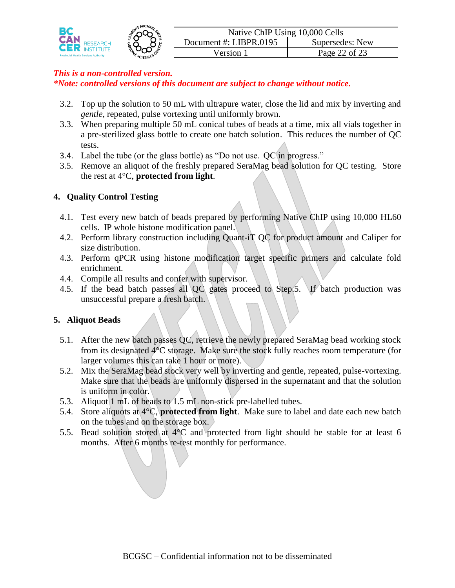|                                             | <b>MICHA</b> | Native ChIP Using 10,000 Cells |                 |  |
|---------------------------------------------|--------------|--------------------------------|-----------------|--|
| RESEARCH                                    | - 44         | Document #: LIBPR.0195         | Supersedes: New |  |
| <b>Provincial Health Services Authority</b> | M<br>SCIENCE | $'$ ersion                     | Page 22 of 23   |  |

- 3.2. Top up the solution to 50 mL with ultrapure water, close the lid and mix by inverting and *gentle*, repeated, pulse vortexing until uniformly brown.
- 3.3. When preparing multiple 50 mL conical tubes of beads at a time, mix all vials together in a pre-sterilized glass bottle to create one batch solution. This reduces the number of QC tests.
- 3.4. Label the tube (or the glass bottle) as "Do not use. QC in progress."
- 3.5. Remove an aliquot of the freshly prepared SeraMag bead solution for QC testing. Store the rest at 4°C, **protected from light**.

### **4. Quality Control Testing**

- 4.1. Test every new batch of beads prepared by performing Native ChIP using 10,000 HL60 cells. IP whole histone modification panel.
- 4.2. Perform library construction including Quant-iT QC for product amount and Caliper for size distribution.
- 4.3. Perform qPCR using histone modification target specific primers and calculate fold enrichment.
- 4.4. Compile all results and confer with supervisor.
- 4.5. If the bead batch passes all QC gates proceed to Step.5. If batch production was unsuccessful prepare a fresh batch.

### **5. Aliquot Beads**

- 5.1. After the new batch passes QC, retrieve the newly prepared SeraMag bead working stock from its designated 4°C storage. Make sure the stock fully reaches room temperature (for larger volumes this can take 1 hour or more).
- 5.2. Mix the SeraMag bead stock very well by inverting and gentle, repeated, pulse-vortexing. Make sure that the beads are uniformly dispersed in the supernatant and that the solution is uniform in color.
- 5.3. Aliquot 1 mL of beads to 1.5 mL non-stick pre-labelled tubes.
- 5.4. Store aliquots at 4°C, **protected from light**. Make sure to label and date each new batch on the tubes and on the storage box.
- 5.5. Bead solution stored at  $4^{\circ}$ C and protected from light should be stable for at least 6 months. After 6 months re-test monthly for performance.